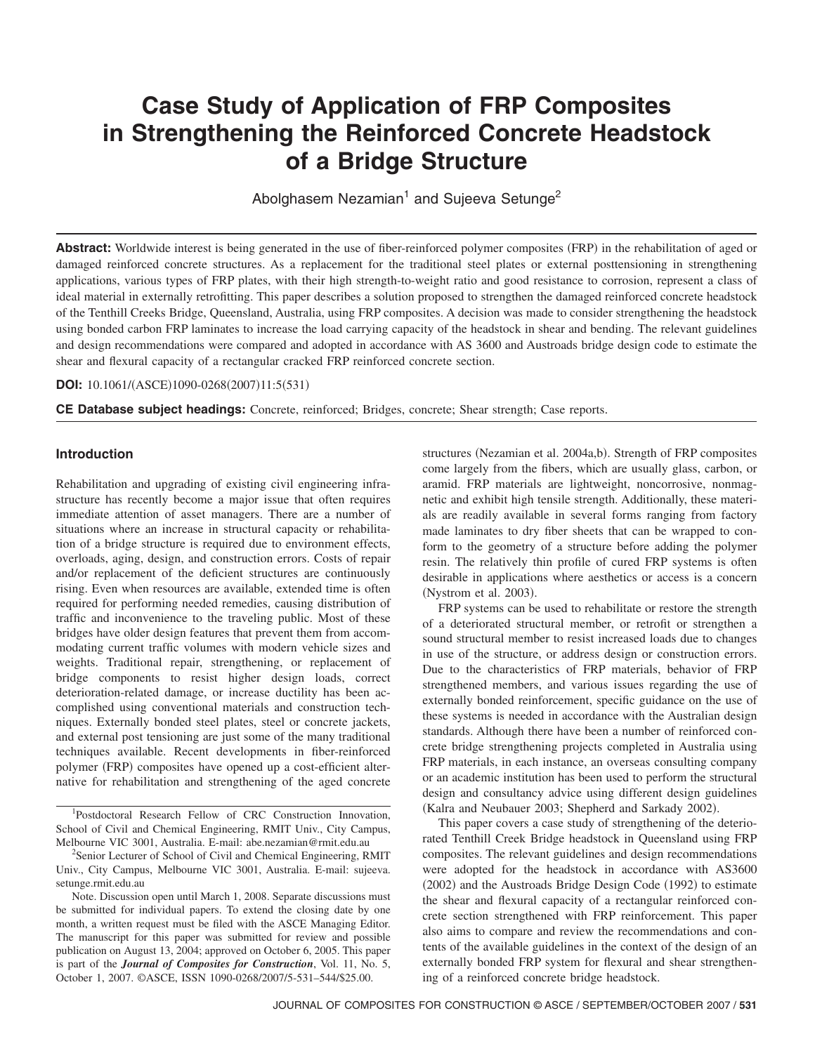# **Case Study of Application of FRP Composites in Strengthening the Reinforced Concrete Headstock of a Bridge Structure**

Abolghasem Nezamian<sup>1</sup> and Sujeeva Setunge<sup>2</sup>

**Abstract:** Worldwide interest is being generated in the use of fiber-reinforced polymer composites (FRP) in the rehabilitation of aged or damaged reinforced concrete structures. As a replacement for the traditional steel plates or external posttensioning in strengthening applications, various types of FRP plates, with their high strength-to-weight ratio and good resistance to corrosion, represent a class of ideal material in externally retrofitting. This paper describes a solution proposed to strengthen the damaged reinforced concrete headstock of the Tenthill Creeks Bridge, Queensland, Australia, using FRP composites. A decision was made to consider strengthening the headstock using bonded carbon FRP laminates to increase the load carrying capacity of the headstock in shear and bending. The relevant guidelines and design recommendations were compared and adopted in accordance with AS 3600 and Austroads bridge design code to estimate the shear and flexural capacity of a rectangular cracked FRP reinforced concrete section.

#### **DOI:** 10.1061/(ASCE)1090-0268(2007)11:5(531)

**CE Database subject headings:** Concrete, reinforced; Bridges, concrete; Shear strength; Case reports.

## **Introduction**

Rehabilitation and upgrading of existing civil engineering infrastructure has recently become a major issue that often requires immediate attention of asset managers. There are a number of situations where an increase in structural capacity or rehabilitation of a bridge structure is required due to environment effects, overloads, aging, design, and construction errors. Costs of repair and/or replacement of the deficient structures are continuously rising. Even when resources are available, extended time is often required for performing needed remedies, causing distribution of traffic and inconvenience to the traveling public. Most of these bridges have older design features that prevent them from accommodating current traffic volumes with modern vehicle sizes and weights. Traditional repair, strengthening, or replacement of bridge components to resist higher design loads, correct deterioration-related damage, or increase ductility has been accomplished using conventional materials and construction techniques. Externally bonded steel plates, steel or concrete jackets, and external post tensioning are just some of the many traditional techniques available. Recent developments in fiber-reinforced polymer (FRP) composites have opened up a cost-efficient alternative for rehabilitation and strengthening of the aged concrete

<sup>1</sup>Postdoctoral Research Fellow of CRC Construction Innovation, School of Civil and Chemical Engineering, RMIT Univ., City Campus, Melbourne VIC 3001, Australia. E-mail: abe.nezamian@rmit.edu.au <sup>2</sup>

<sup>2</sup>Senior Lecturer of School of Civil and Chemical Engineering, RMIT Univ., City Campus, Melbourne VIC 3001, Australia. E-mail: sujeeva. setunge.rmit.edu.au

Note. Discussion open until March 1, 2008. Separate discussions must be submitted for individual papers. To extend the closing date by one month, a written request must be filed with the ASCE Managing Editor. The manuscript for this paper was submitted for review and possible publication on August 13, 2004; approved on October 6, 2005. This paper is part of the *Journal of Composites for Construction*, Vol. 11, No. 5, October 1, 2007. ©ASCE, ISSN 1090-0268/2007/5-531–544/\$25.00.

structures (Nezamian et al. 2004a,b). Strength of FRP composites come largely from the fibers, which are usually glass, carbon, or aramid. FRP materials are lightweight, noncorrosive, nonmagnetic and exhibit high tensile strength. Additionally, these materials are readily available in several forms ranging from factory made laminates to dry fiber sheets that can be wrapped to conform to the geometry of a structure before adding the polymer resin. The relatively thin profile of cured FRP systems is often desirable in applications where aesthetics or access is a concern (Nystrom et al. 2003).

FRP systems can be used to rehabilitate or restore the strength of a deteriorated structural member, or retrofit or strengthen a sound structural member to resist increased loads due to changes in use of the structure, or address design or construction errors. Due to the characteristics of FRP materials, behavior of FRP strengthened members, and various issues regarding the use of externally bonded reinforcement, specific guidance on the use of these systems is needed in accordance with the Australian design standards. Although there have been a number of reinforced concrete bridge strengthening projects completed in Australia using FRP materials, in each instance, an overseas consulting company or an academic institution has been used to perform the structural design and consultancy advice using different design guidelines (Kalra and Neubauer 2003; Shepherd and Sarkady 2002).

This paper covers a case study of strengthening of the deteriorated Tenthill Creek Bridge headstock in Queensland using FRP composites. The relevant guidelines and design recommendations were adopted for the headstock in accordance with AS3600 (2002) and the Austroads Bridge Design Code (1992) to estimate the shear and flexural capacity of a rectangular reinforced concrete section strengthened with FRP reinforcement. This paper also aims to compare and review the recommendations and contents of the available guidelines in the context of the design of an externally bonded FRP system for flexural and shear strengthening of a reinforced concrete bridge headstock.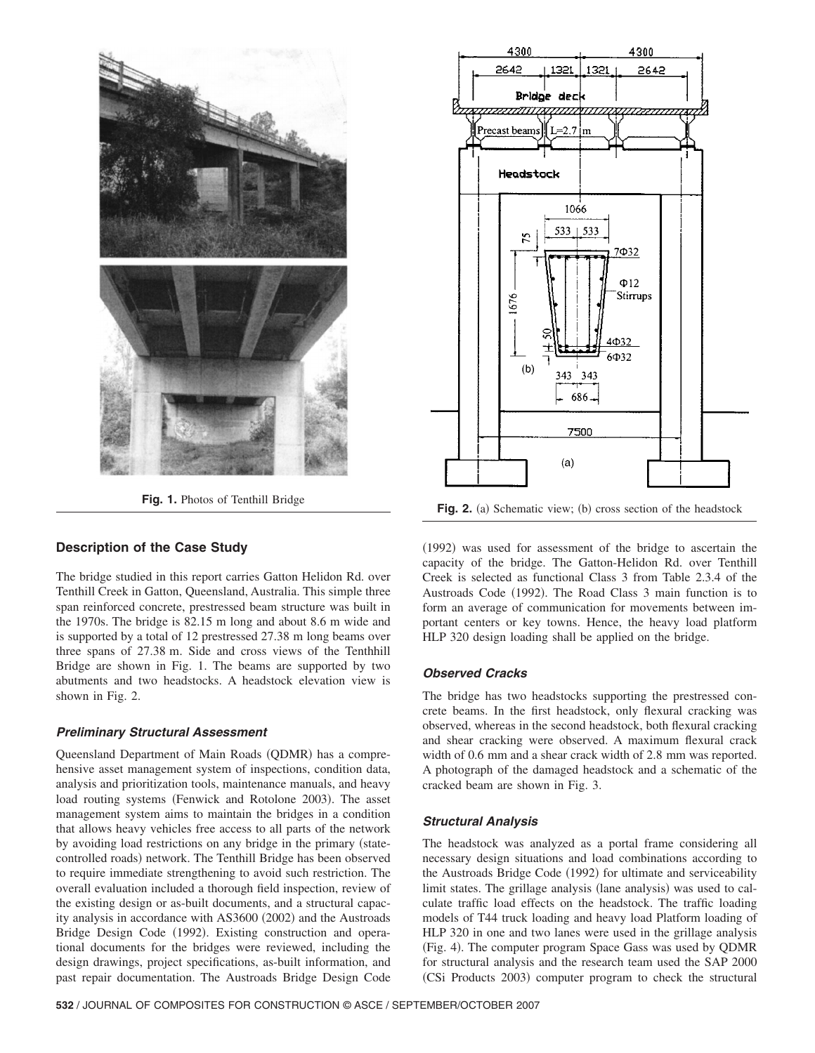

**Fig. 1.** Photos of Tenthill Bridge

## **Description of the Case Study**

The bridge studied in this report carries Gatton Helidon Rd. over Tenthill Creek in Gatton, Queensland, Australia. This simple three span reinforced concrete, prestressed beam structure was built in the 1970s. The bridge is 82.15 m long and about 8.6 m wide and is supported by a total of 12 prestressed 27.38 m long beams over three spans of 27.38 m. Side and cross views of the Tenthhill Bridge are shown in Fig. 1. The beams are supported by two abutments and two headstocks. A headstock elevation view is shown in Fig. 2.

## *Preliminary Structural Assessment*

Queensland Department of Main Roads (QDMR) has a comprehensive asset management system of inspections, condition data, analysis and prioritization tools, maintenance manuals, and heavy load routing systems (Fenwick and Rotolone 2003). The asset management system aims to maintain the bridges in a condition that allows heavy vehicles free access to all parts of the network by avoiding load restrictions on any bridge in the primary (statecontrolled roads) network. The Tenthill Bridge has been observed to require immediate strengthening to avoid such restriction. The overall evaluation included a thorough field inspection, review of the existing design or as-built documents, and a structural capacity analysis in accordance with AS3600 (2002) and the Austroads Bridge Design Code (1992). Existing construction and operational documents for the bridges were reviewed, including the design drawings, project specifications, as-built information, and past repair documentation. The Austroads Bridge Design Code



) Schematic view; (b) cross section of the headstock

(1992) was used for assessment of the bridge to ascertain the capacity of the bridge. The Gatton-Helidon Rd. over Tenthill Creek is selected as functional Class 3 from Table 2.3.4 of the Austroads Code (1992). The Road Class 3 main function is to form an average of communication for movements between important centers or key towns. Hence, the heavy load platform HLP 320 design loading shall be applied on the bridge.

#### *Observed Cracks*

The bridge has two headstocks supporting the prestressed concrete beams. In the first headstock, only flexural cracking was observed, whereas in the second headstock, both flexural cracking and shear cracking were observed. A maximum flexural crack width of 0.6 mm and a shear crack width of 2.8 mm was reported. A photograph of the damaged headstock and a schematic of the cracked beam are shown in Fig. 3.

#### *Structural Analysis*

The headstock was analyzed as a portal frame considering all necessary design situations and load combinations according to the Austroads Bridge Code (1992) for ultimate and serviceability limit states. The grillage analysis (lane analysis) was used to calculate traffic load effects on the headstock. The traffic loading models of T44 truck loading and heavy load Platform loading of HLP 320 in one and two lanes were used in the grillage analysis (Fig. 4). The computer program Space Gass was used by QDMR for structural analysis and the research team used the SAP 2000 (CSi Products 2003) computer program to check the structural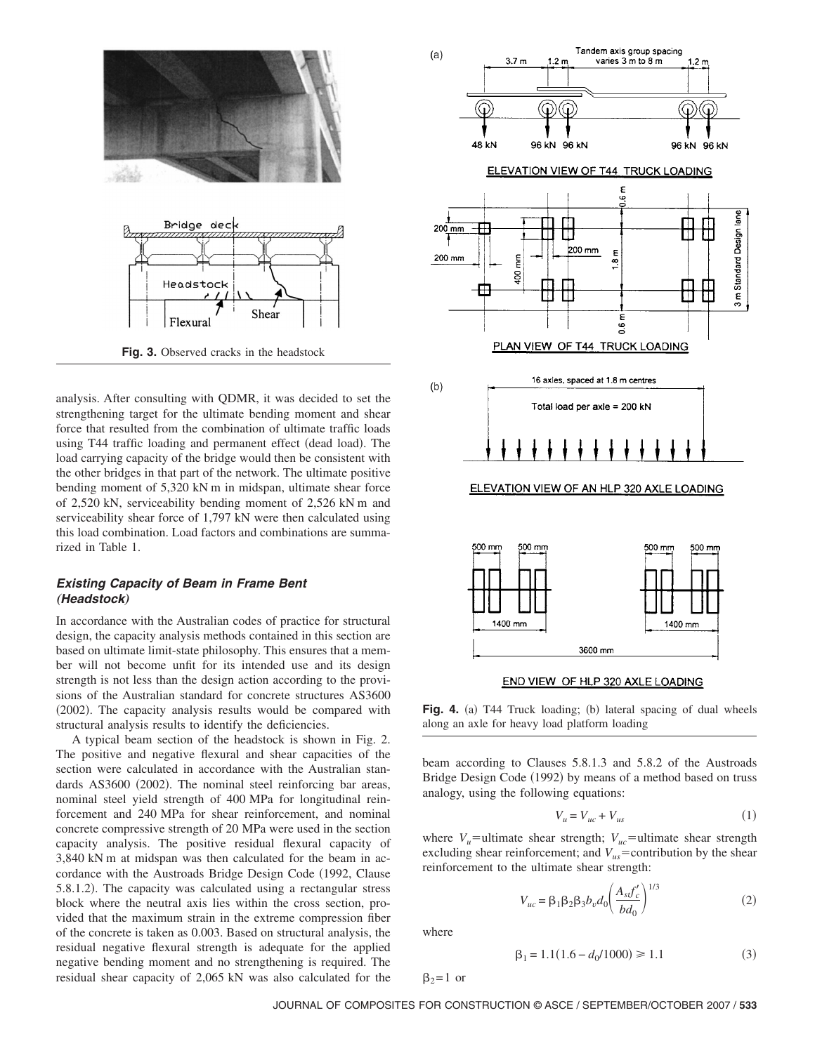

analysis. After consulting with QDMR, it was decided to set the strengthening target for the ultimate bending moment and shear force that resulted from the combination of ultimate traffic loads using T44 traffic loading and permanent effect (dead load). The load carrying capacity of the bridge would then be consistent with the other bridges in that part of the network. The ultimate positive bending moment of 5,320 kN m in midspan, ultimate shear force of 2,520 kN, serviceability bending moment of 2,526 kN m and serviceability shear force of 1,797 kN were then calculated using this load combination. Load factors and combinations are summarized in Table 1.

## *Existing Capacity of Beam in Frame Bent* "*Headstock*…

In accordance with the Australian codes of practice for structural design, the capacity analysis methods contained in this section are based on ultimate limit-state philosophy. This ensures that a member will not become unfit for its intended use and its design strength is not less than the design action according to the provisions of the Australian standard for concrete structures AS3600 (2002). The capacity analysis results would be compared with structural analysis results to identify the deficiencies.

A typical beam section of the headstock is shown in Fig. 2. The positive and negative flexural and shear capacities of the section were calculated in accordance with the Australian standards AS3600 (2002). The nominal steel reinforcing bar areas, nominal steel yield strength of 400 MPa for longitudinal reinforcement and 240 MPa for shear reinforcement, and nominal concrete compressive strength of 20 MPa were used in the section capacity analysis. The positive residual flexural capacity of 3,840 kN m at midspan was then calculated for the beam in accordance with the Austroads Bridge Design Code 1992, Clause 5.8.1.2). The capacity was calculated using a rectangular stress block where the neutral axis lies within the cross section, provided that the maximum strain in the extreme compression fiber of the concrete is taken as 0.003. Based on structural analysis, the residual negative flexural strength is adequate for the applied negative bending moment and no strengthening is required. The residual shear capacity of 2,065 kN was also calculated for the



END VIEW OF HLP 320 AXLE LOADING

Fig. 4. (a) T44 Truck loading; (b) lateral spacing of dual wheels along an axle for heavy load platform loading

beam according to Clauses 5.8.1.3 and 5.8.2 of the Austroads Bridge Design Code (1992) by means of a method based on truss analogy, using the following equations:

$$
V_u = V_{uc} + V_{us} \tag{1}
$$

where  $V_u$ =ultimate shear strength;  $V_{uc}$ =ultimate shear strength excluding shear reinforcement; and  $V_{us}$ =contribution by the shear reinforcement to the ultimate shear strength:

$$
V_{uc} = \beta_1 \beta_2 \beta_3 b_v d_0 \left(\frac{A_{s} f'_c}{b d_0}\right)^{1/3}
$$
 (2)

where

$$
\beta_1 = 1.1(1.6 - d_0/1000) \ge 1.1
$$
 (3)

$$
\beta_2 = 1 \text{ or }
$$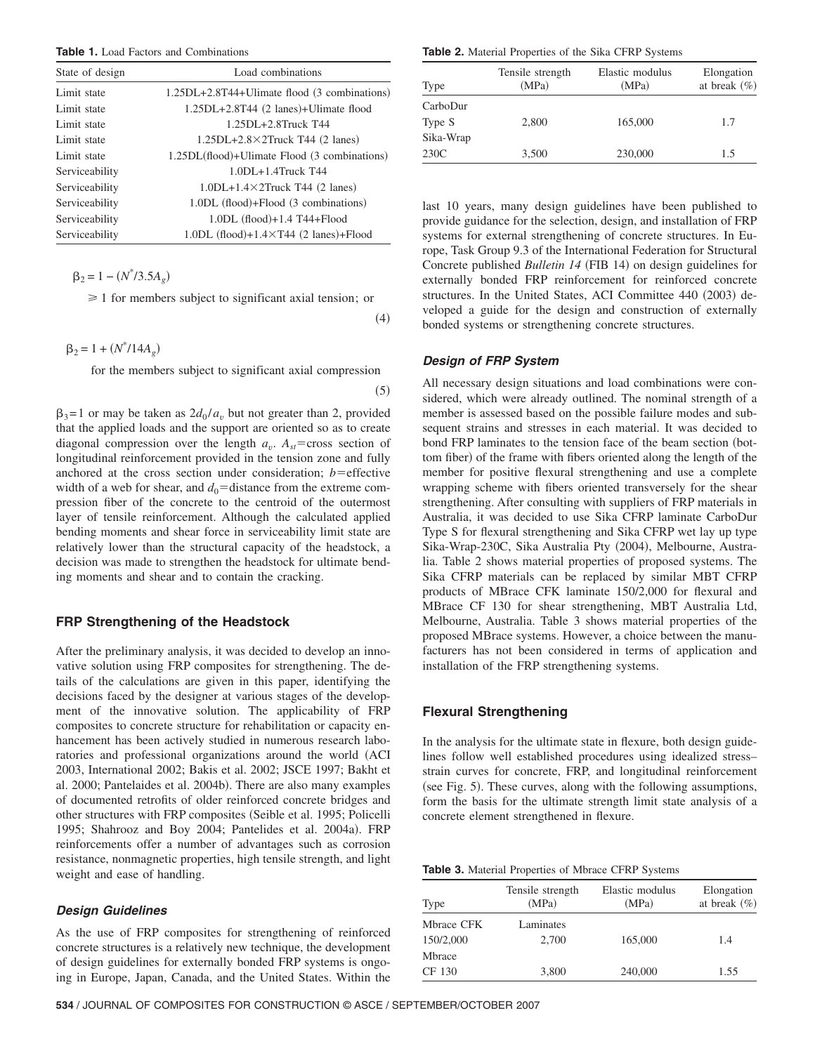**Table 1.** Load Factors and Combinations

| State of design | Load combinations                            |  |  |
|-----------------|----------------------------------------------|--|--|
| Limit state     | 1.25DL+2.8T44+Ulimate flood (3 combinations) |  |  |
| Limit state     | $1.25DL+2.8T44$ (2 lanes)+Ulimate flood      |  |  |
| Limit state     | 1.25DI +2.8Truck T44                         |  |  |
| Limit state     | $1.25DL+2.8\times2$ Truck T44 (2 lanes)      |  |  |
| Limit state     | 1.25DL(flood)+Ulimate Flood (3 combinations) |  |  |
| Serviceability  | $1.0DL + 1.4$ Truck T44                      |  |  |
| Serviceability  | $1.0DL+1.4\times2$ Truck T44 (2 lanes)       |  |  |
| Serviceability  | 1.0DL (flood)+Flood (3 combinations)         |  |  |
| Serviceability  | $1.0DL$ (flood) $+1.4$ T44 $+$ Flood         |  |  |
| Serviceability  | $1.0DL$ (flood)+1.4×T44 (2 lanes)+Flood      |  |  |

 $\beta_2 = 1 - (N^*/3.5A_g)$ 

 $\geq 1$  for members subject to significant axial tension; or

 $\beta_2 = 1 + (N^*/14A_g)$ 

for the members subject to significant axial compression

 $(5)$ 

 $(4)$ 

 $\beta_3 = 1$  or may be taken as  $2d_0/a_v$  but not greater than 2, provided that the applied loads and the support are oriented so as to create diagonal compression over the length  $a_v$ .  $A_{st}$ =cross section of longitudinal reinforcement provided in the tension zone and fully anchored at the cross section under consideration;  $b =$  effective width of a web for shear, and  $d_0$ =distance from the extreme compression fiber of the concrete to the centroid of the outermost layer of tensile reinforcement. Although the calculated applied bending moments and shear force in serviceability limit state are relatively lower than the structural capacity of the headstock, a decision was made to strengthen the headstock for ultimate bending moments and shear and to contain the cracking.

## **FRP Strengthening of the Headstock**

After the preliminary analysis, it was decided to develop an innovative solution using FRP composites for strengthening. The details of the calculations are given in this paper, identifying the decisions faced by the designer at various stages of the development of the innovative solution. The applicability of FRP composites to concrete structure for rehabilitation or capacity enhancement has been actively studied in numerous research laboratories and professional organizations around the world ACI 2003, International 2002; Bakis et al. 2002; JSCE 1997; Bakht et al. 2000; Pantelaides et al. 2004b). There are also many examples of documented retrofits of older reinforced concrete bridges and other structures with FRP composites (Seible et al. 1995; Policelli 1995; Shahrooz and Boy 2004; Pantelides et al. 2004a). FRP reinforcements offer a number of advantages such as corrosion resistance, nonmagnetic properties, high tensile strength, and light weight and ease of handling.

## *Design Guidelines*

As the use of FRP composites for strengthening of reinforced concrete structures is a relatively new technique, the development of design guidelines for externally bonded FRP systems is ongoing in Europe, Japan, Canada, and the United States. Within the

| Type      | Tensile strength<br>(MPa) | Elastic modulus<br>(MPa) | Elongation<br>at break $(\% )$ |
|-----------|---------------------------|--------------------------|--------------------------------|
| CarboDur  |                           |                          |                                |
| Type S    | 2,800                     | 165,000                  | 1.7                            |
| Sika-Wrap |                           |                          |                                |
| 230C      | 3,500                     | 230,000                  | 1.5                            |

last 10 years, many design guidelines have been published to provide guidance for the selection, design, and installation of FRP systems for external strengthening of concrete structures. In Europe, Task Group 9.3 of the International Federation for Structural Concrete published *Bulletin 14* (FIB 14) on design guidelines for externally bonded FRP reinforcement for reinforced concrete structures. In the United States, ACI Committee 440 (2003) developed a guide for the design and construction of externally bonded systems or strengthening concrete structures.

## *Design of FRP System*

All necessary design situations and load combinations were considered, which were already outlined. The nominal strength of a member is assessed based on the possible failure modes and subsequent strains and stresses in each material. It was decided to bond FRP laminates to the tension face of the beam section (bottom fiber) of the frame with fibers oriented along the length of the member for positive flexural strengthening and use a complete wrapping scheme with fibers oriented transversely for the shear strengthening. After consulting with suppliers of FRP materials in Australia, it was decided to use Sika CFRP laminate CarboDur Type S for flexural strengthening and Sika CFRP wet lay up type Sika-Wrap-230C, Sika Australia Pty (2004), Melbourne, Australia. Table 2 shows material properties of proposed systems. The Sika CFRP materials can be replaced by similar MBT CFRP products of MBrace CFK laminate 150/2,000 for flexural and MBrace CF 130 for shear strengthening, MBT Australia Ltd, Melbourne, Australia. Table 3 shows material properties of the proposed MBrace systems. However, a choice between the manufacturers has not been considered in terms of application and installation of the FRP strengthening systems.

# **Flexural Strengthening**

In the analysis for the ultimate state in flexure, both design guidelines follow well established procedures using idealized stress– strain curves for concrete, FRP, and longitudinal reinforcement (see Fig. 5). These curves, along with the following assumptions, form the basis for the ultimate strength limit state analysis of a concrete element strengthened in flexure.

|  |  |  | Table 3. Material Properties of Mbrace CFRP Systems |  |  |
|--|--|--|-----------------------------------------------------|--|--|
|--|--|--|-----------------------------------------------------|--|--|

| Type       | Tensile strength<br>(MPa) | Elastic modulus<br>(MPa) | Elongation<br>at break $(\%)$ |
|------------|---------------------------|--------------------------|-------------------------------|
| Mbrace CFK | Laminates                 |                          |                               |
| 150/2,000  | 2,700                     | 165,000                  | 1.4                           |
| Mbrace     |                           |                          |                               |
| CF 130     | 3,800                     | 240,000                  | 1.55                          |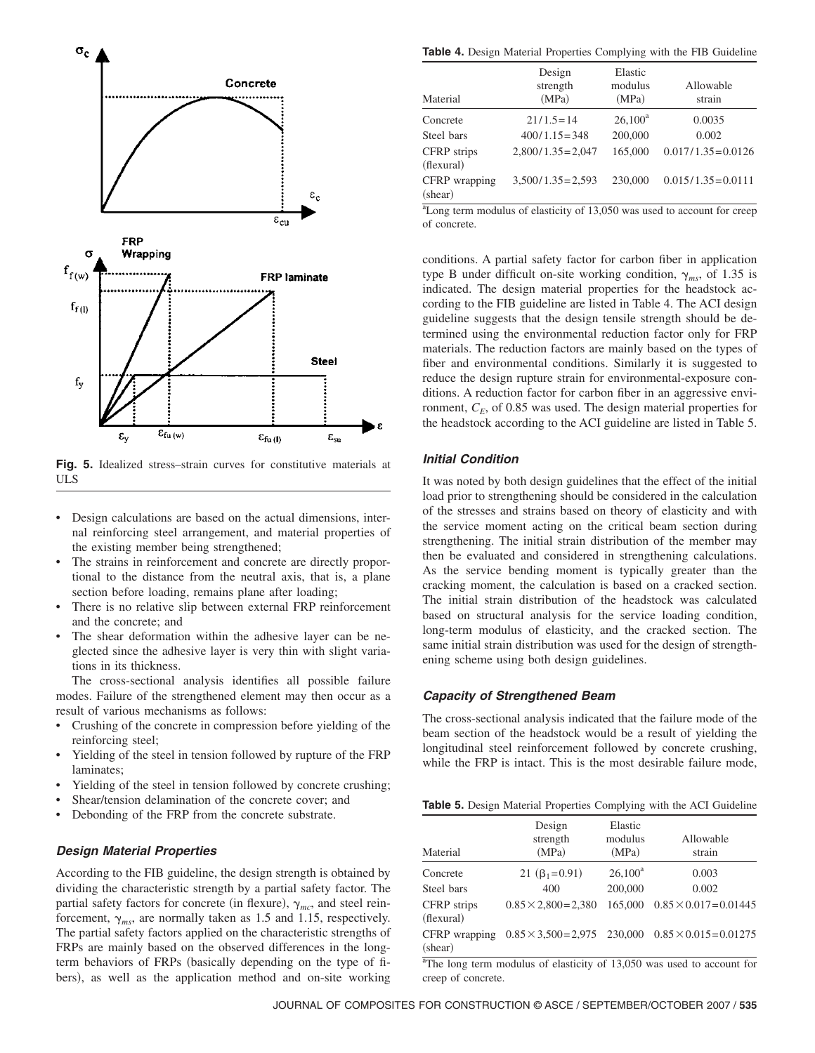

**Fig. 5.** Idealized stress–strain curves for constitutive materials at ULS

- Design calculations are based on the actual dimensions, internal reinforcing steel arrangement, and material properties of the existing member being strengthened;
- The strains in reinforcement and concrete are directly proportional to the distance from the neutral axis, that is, a plane section before loading, remains plane after loading;
- There is no relative slip between external FRP reinforcement and the concrete; and
- The shear deformation within the adhesive layer can be neglected since the adhesive layer is very thin with slight variations in its thickness.

The cross-sectional analysis identifies all possible failure modes. Failure of the strengthened element may then occur as a result of various mechanisms as follows:

- Crushing of the concrete in compression before yielding of the reinforcing steel;
- Yielding of the steel in tension followed by rupture of the FRP laminates;
- Yielding of the steel in tension followed by concrete crushing;
- Shear/tension delamination of the concrete cover; and
- Debonding of the FRP from the concrete substrate.

## *Design Material Properties*

According to the FIB guideline, the design strength is obtained by dividing the characteristic strength by a partial safety factor. The partial safety factors for concrete (in flexure),  $\gamma_{mc}$ , and steel reinforcement,  $\gamma_{ms}$ , are normally taken as 1.5 and 1.15, respectively. The partial safety factors applied on the characteristic strengths of FRPs are mainly based on the observed differences in the longterm behaviors of FRPs (basically depending on the type of fibers), as well as the application method and on-site working

**Table 4.** Design Material Properties Complying with the FIB Guideline

| Material                         | Design<br>strength<br>(MPa) | Elastic<br>modulus<br>(MPa) | Allowable<br>strain   |
|----------------------------------|-----------------------------|-----------------------------|-----------------------|
| Concrete                         | $21/1.5 = 14$               | $26,100^a$                  | 0.0035                |
| Steel bars                       | $400/1.15 = 348$            | 200,000                     | 0.002                 |
| <b>CFRP</b> strips<br>(flexural) | $2,800/1.35 = 2,047$        | 165,000                     | $0.017/1.35 = 0.0126$ |
| <b>CFRP</b> wrapping<br>(shear)  | $3,500/1.35 = 2,593$        | 230,000                     | $0.015/1.35 = 0.0111$ |

<sup>a</sup>Long term modulus of elasticity of 13,050 was used to account for creep of concrete.

conditions. A partial safety factor for carbon fiber in application type B under difficult on-site working condition,  $\gamma_{ms}$ , of 1.35 is indicated. The design material properties for the headstock according to the FIB guideline are listed in Table 4. The ACI design guideline suggests that the design tensile strength should be determined using the environmental reduction factor only for FRP materials. The reduction factors are mainly based on the types of fiber and environmental conditions. Similarly it is suggested to reduce the design rupture strain for environmental-exposure conditions. A reduction factor for carbon fiber in an aggressive environment,  $C_E$ , of 0.85 was used. The design material properties for the headstock according to the ACI guideline are listed in Table 5.

#### *Initial Condition*

It was noted by both design guidelines that the effect of the initial load prior to strengthening should be considered in the calculation of the stresses and strains based on theory of elasticity and with the service moment acting on the critical beam section during strengthening. The initial strain distribution of the member may then be evaluated and considered in strengthening calculations. As the service bending moment is typically greater than the cracking moment, the calculation is based on a cracked section. The initial strain distribution of the headstock was calculated based on structural analysis for the service loading condition, long-term modulus of elasticity, and the cracked section. The same initial strain distribution was used for the design of strengthening scheme using both design guidelines.

## *Capacity of Strengthened Beam*

The cross-sectional analysis indicated that the failure mode of the beam section of the headstock would be a result of yielding the longitudinal steel reinforcement followed by concrete crushing, while the FRP is intact. This is the most desirable failure mode,

| Table 5. Design Material Properties Complying with the ACI Guideline |  |  |  |  |  |
|----------------------------------------------------------------------|--|--|--|--|--|
|----------------------------------------------------------------------|--|--|--|--|--|

| Material                         | Design<br>strength<br>(MPa) | Elastic<br>modulus<br>(MPa) | Allowable<br>strain                                               |
|----------------------------------|-----------------------------|-----------------------------|-------------------------------------------------------------------|
| Concrete                         | 21 $(\beta_1 = 0.91)$       | $26,100^a$                  | 0.003                                                             |
| Steel bars                       | 400                         | 200,000                     | 0.002                                                             |
| <b>CFRP</b> strips<br>(flexural) | $0.85 \times 2.800 = 2.380$ | 165,000                     | $0.85 \times 0.017 = 0.01445$                                     |
| CFRP wrapping<br>(shear)         |                             |                             | $0.85 \times 3,500 = 2,975$ 230,000 $0.85 \times 0.015 = 0.01275$ |

<sup>a</sup>The long term modulus of elasticity of 13,050 was used to account for creep of concrete.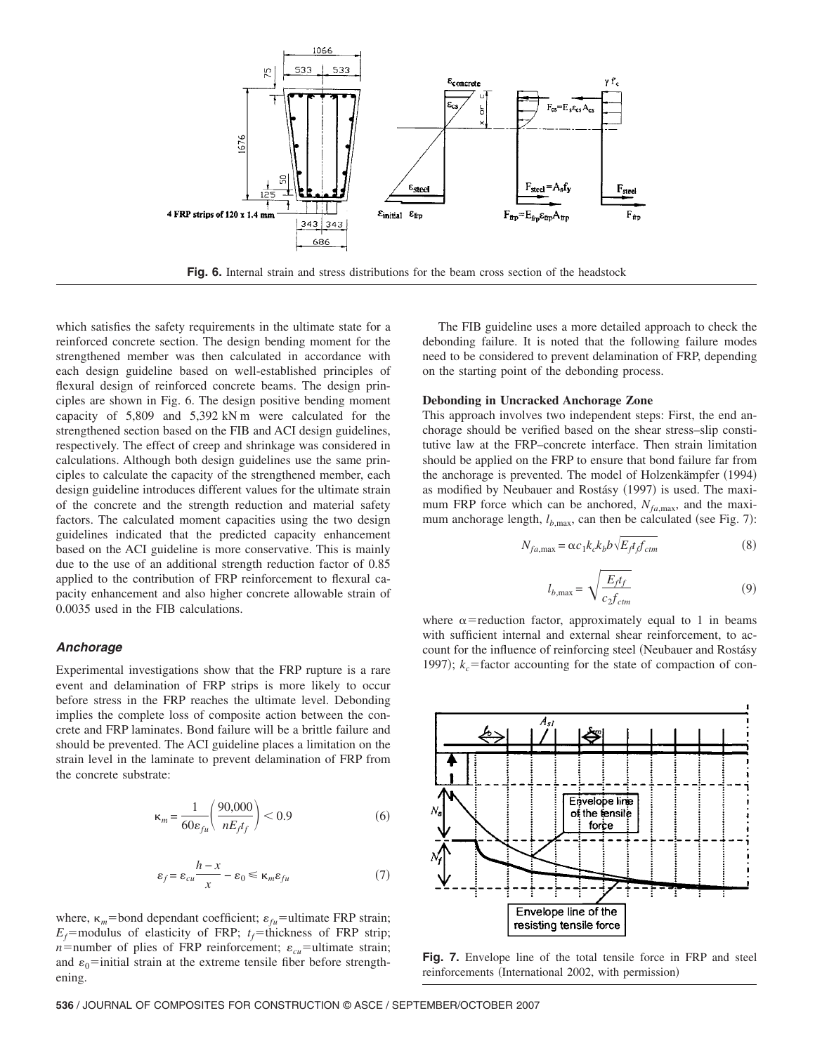

**Fig. 6.** Internal strain and stress distributions for the beam cross section of the headstock

which satisfies the safety requirements in the ultimate state for a reinforced concrete section. The design bending moment for the strengthened member was then calculated in accordance with each design guideline based on well-established principles of flexural design of reinforced concrete beams. The design principles are shown in Fig. 6. The design positive bending moment capacity of 5,809 and 5,392 kN m were calculated for the strengthened section based on the FIB and ACI design guidelines, respectively. The effect of creep and shrinkage was considered in calculations. Although both design guidelines use the same principles to calculate the capacity of the strengthened member, each design guideline introduces different values for the ultimate strain of the concrete and the strength reduction and material safety factors. The calculated moment capacities using the two design guidelines indicated that the predicted capacity enhancement based on the ACI guideline is more conservative. This is mainly due to the use of an additional strength reduction factor of 0.85 applied to the contribution of FRP reinforcement to flexural capacity enhancement and also higher concrete allowable strain of 0.0035 used in the FIB calculations.

#### *Anchorage*

Experimental investigations show that the FRP rupture is a rare event and delamination of FRP strips is more likely to occur before stress in the FRP reaches the ultimate level. Debonding implies the complete loss of composite action between the concrete and FRP laminates. Bond failure will be a brittle failure and should be prevented. The ACI guideline places a limitation on the strain level in the laminate to prevent delamination of FRP from the concrete substrate:

$$
\kappa_m = \frac{1}{60 \varepsilon_{fu}} \left( \frac{90,000}{n E_f t_f} \right) < 0.9
$$
 (6)

$$
\varepsilon_f = \varepsilon_{cu} \frac{h - x}{x} - \varepsilon_0 \le \kappa_m \varepsilon_{fu}
$$
 (7)

where,  $\kappa_m$ =bond dependant coefficient;  $\varepsilon_{fu}$ =ultimate FRP strain;  $E_f$ =modulus of elasticity of FRP;  $t_f$ =thickness of FRP strip; *n*=number of plies of FRP reinforcement;  $\varepsilon_{cu}$ =ultimate strain; and  $\varepsilon_0$ =initial strain at the extreme tensile fiber before strengthening.

The FIB guideline uses a more detailed approach to check the debonding failure. It is noted that the following failure modes need to be considered to prevent delamination of FRP, depending on the starting point of the debonding process.

#### **Debonding in Uncracked Anchorage Zone**

This approach involves two independent steps: First, the end anchorage should be verified based on the shear stress–slip constitutive law at the FRP–concrete interface. Then strain limitation should be applied on the FRP to ensure that bond failure far from the anchorage is prevented. The model of Holzenkämpfer (1994) as modified by Neubauer and Rostásy (1997) is used. The maximum FRP force which can be anchored,  $N_{fa,\text{max}}$ , and the maximum anchorage length,  $l_{b,\text{max}}$ , can then be calculated (see Fig. 7):

$$
N_{fa,\text{max}} = \alpha c_1 k_c k_b b \sqrt{E_f f_{cf}} \tag{8}
$$

$$
l_{b,\max} = \sqrt{\frac{E_{ff}}{c_2 f_{cm}}}
$$
 (9)

where  $\alpha$ =reduction factor, approximately equal to 1 in beams with sufficient internal and external shear reinforcement, to account for the influence of reinforcing steel (Neubauer and Rostásy 1997);  $k_c$ =factor accounting for the state of compaction of con-



**Fig. 7.** Envelope line of the total tensile force in FRP and steel reinforcements (International 2002, with permission)

**536** / JOURNAL OF COMPOSITES FOR CONSTRUCTION © ASCE / SEPTEMBER/OCTOBER 2007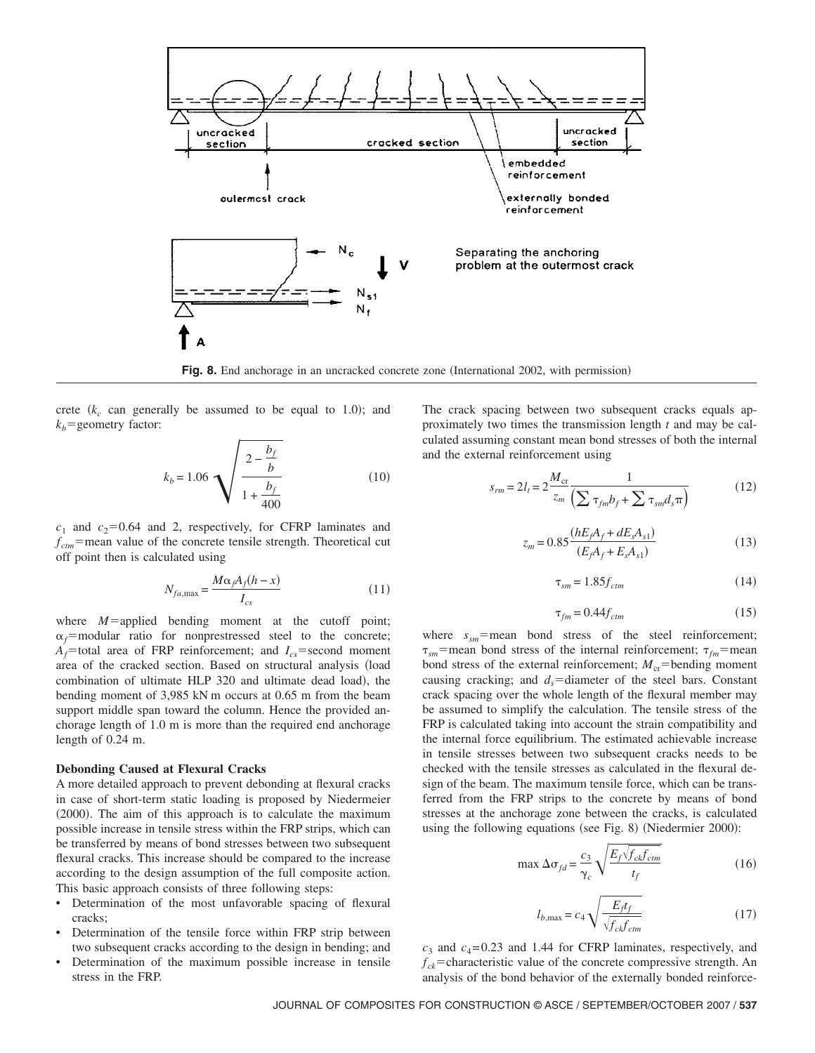

Fig. 8. End anchorage in an uncracked concrete zone (International 2002, with permission)

crete  $(k_c \text{ can generally be assumed to be equal to } 1.0)$ ; and  $k_b$ =geometry factor:

$$
k_b = 1.06 \sqrt{\frac{2 - \frac{b_f}{b}}{1 + \frac{b_f}{400}}}
$$
(10)

 $c_1$  and  $c_2$ =0.64 and 2, respectively, for CFRP laminates and  $f_{\text{ctm}}$ =mean value of the concrete tensile strength. Theoretical cut off point then is calculated using

$$
N_{fa,\text{max}} = \frac{M\alpha_f A_f (h - x)}{I_{cs}}\tag{11}
$$

where  $M$ =applied bending moment at the cutoff point;  $\alpha_f$ =modular ratio for nonprestressed steel to the concrete;  $A_f$ =total area of FRP reinforcement; and  $I_{cs}$ =second moment area of the cracked section. Based on structural analysis (load combination of ultimate HLP 320 and ultimate dead load), the bending moment of 3,985 kN m occurs at 0.65 m from the beam support middle span toward the column. Hence the provided anchorage length of 1.0 m is more than the required end anchorage length of 0.24 m.

#### **Debonding Caused at Flexural Cracks**

A more detailed approach to prevent debonding at flexural cracks in case of short-term static loading is proposed by Niedermeier  $(2000)$ . The aim of this approach is to calculate the maximum possible increase in tensile stress within the FRP strips, which can be transferred by means of bond stresses between two subsequent flexural cracks. This increase should be compared to the increase according to the design assumption of the full composite action. This basic approach consists of three following steps:

- Determination of the most unfavorable spacing of flexural cracks;
- Determination of the tensile force within FRP strip between two subsequent cracks according to the design in bending; and
- Determination of the maximum possible increase in tensile stress in the FRP.

The crack spacing between two subsequent cracks equals approximately two times the transmission length *t* and may be calculated assuming constant mean bond stresses of both the internal and the external reinforcement using

$$
s_{rm} = 2l_t = 2\frac{M_{\rm cr}}{z_m} \frac{1}{\left(\sum \tau_{fm} b_f + \sum \tau_{sm} d_s \pi\right)}
$$
(12)

$$
z_m = 0.85 \frac{(hE_f A_f + dE_s A_{s1})}{(E_f A_f + E_s A_{s1})}
$$
\n(13)

$$
\tau_{sm} = 1.85 f_{\text{ctm}} \tag{14}
$$

$$
\tau_{fm} = 0.44 f_{\text{ctm}} \tag{15}
$$

where  $s_{sm}$ =mean bond stress of the steel reinforcement;  $\tau_{sm}$ =mean bond stress of the internal reinforcement;  $\tau_{fm}$ =mean bond stress of the external reinforcement;  $M_{cr}$ =bending moment causing cracking; and  $d_s$ =diameter of the steel bars. Constant crack spacing over the whole length of the flexural member may be assumed to simplify the calculation. The tensile stress of the FRP is calculated taking into account the strain compatibility and the internal force equilibrium. The estimated achievable increase in tensile stresses between two subsequent cracks needs to be checked with the tensile stresses as calculated in the flexural design of the beam. The maximum tensile force, which can be transferred from the FRP strips to the concrete by means of bond stresses at the anchorage zone between the cracks, is calculated using the following equations (see Fig. 8) (Niedermier 2000):

$$
\max \Delta \sigma_{fd} = \frac{c_3}{\gamma_c} \sqrt{\frac{E_f \sqrt{f_{ck} f_{ctm}}}{t_f}}
$$
 (16)

$$
l_{b,\max} = c_4 \sqrt{\frac{E_f t_f}{\sqrt{f_{ck} f_{ctm}}}}
$$
\n(17)

 $c_3$  and  $c_4 = 0.23$  and 1.44 for CFRP laminates, respectively, and  $f_{ck}$ =characteristic value of the concrete compressive strength. An analysis of the bond behavior of the externally bonded reinforce-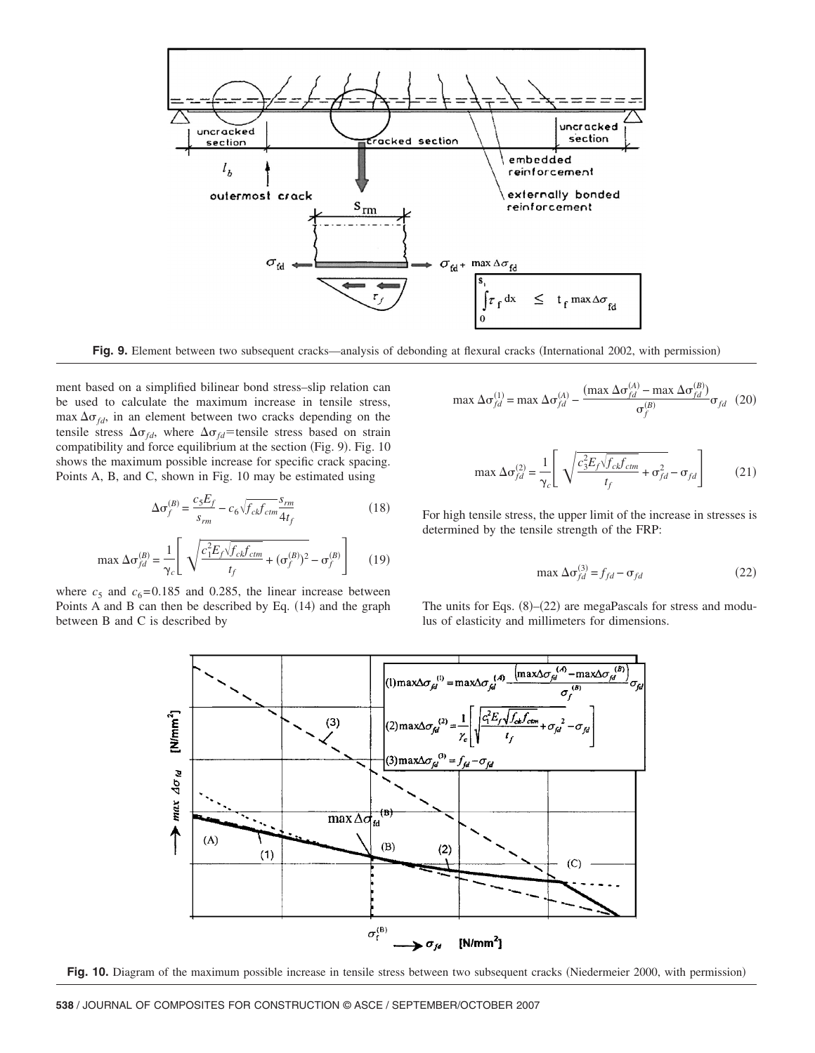

Fig. 9. Element between two subsequent cracks—analysis of debonding at flexural cracks (International 2002, with permission)

ment based on a simplified bilinear bond stress–slip relation can be used to calculate the maximum increase in tensile stress, max  $\Delta\sigma_{fd}$ , in an element between two cracks depending on the tensile stress  $\Delta \sigma_{fd}$ , where  $\Delta \sigma_{fd}$ =tensile stress based on strain compatibility and force equilibrium at the section (Fig. 9). Fig. 10 shows the maximum possible increase for specific crack spacing. Points A, B, and C, shown in Fig. 10 may be estimated using

$$
\Delta \sigma_f^{(B)} = \frac{c_5 E_f}{s_{rm}} - c_6 \sqrt{f_{ck} f_{cm}} \frac{s_{rm}}{4t_f}
$$
 (18)

$$
\max \Delta \sigma_{fd}^{(B)} = \frac{1}{\gamma_c} \left[ \sqrt{\frac{c_1^2 E_f \sqrt{f_{ck} f_{ctm}}}{t_f} + (\sigma_f^{(B)})^2} - \sigma_f^{(B)} \right] \tag{19}
$$

where  $c_5$  and  $c_6 = 0.185$  and 0.285, the linear increase between Points A and B can then be described by Eq.  $(14)$  and the graph between B and C is described by

$$
\max \Delta \sigma_{fd}^{(1)} = \max \Delta \sigma_{fd}^{(A)} - \frac{(\max \Delta \sigma_{fd}^{(A)} - \max \Delta \sigma_{fd}^{(B)})}{\sigma_f^{(B)}} \sigma_{fd} \quad (20)
$$

$$
\max \Delta \sigma_{fd}^{(2)} = \frac{1}{\gamma_c} \left[ \sqrt{\frac{c_3^2 E_f \sqrt{f_{ck} f_{cum}}}{t_f} + \sigma_{fd}^2} - \sigma_{fd} \right]
$$
 (21)

For high tensile stress, the upper limit of the increase in stresses is determined by the tensile strength of the FRP:

$$
\max \Delta \sigma_{fd}^{(3)} = f_{fd} - \sigma_{fd} \tag{22}
$$

The units for Eqs.  $(8)$ - $(22)$  are megaPascals for stress and modulus of elasticity and millimeters for dimensions.



Fig. 10. Diagram of the maximum possible increase in tensile stress between two subsequent cracks (Niedermeier 2000, with permission)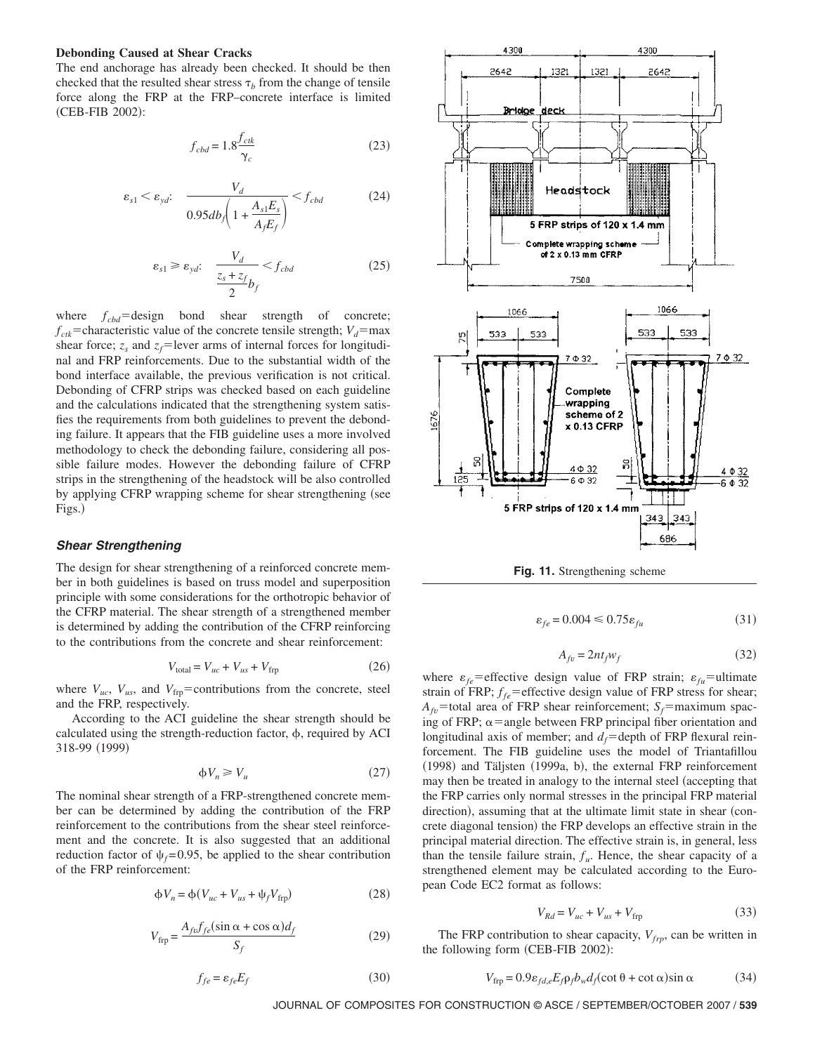#### **Debonding Caused at Shear Cracks**

The end anchorage has already been checked. It should be then checked that the resulted shear stress  $\tau_b$  from the change of tensile force along the FRP at the FRP–concrete interface is limited (CEB-FIB 2002):

$$
f_{cbd} = 1.8 \frac{f_{ctk}}{\gamma_c} \tag{23}
$$

$$
\varepsilon_{s1} < \varepsilon_{yd}; \quad \frac{V_d}{0.95db_f \left(1 + \frac{A_{s1}E_s}{A_fE_f}\right)} < f_{cbd} \tag{24}
$$

$$
\varepsilon_{s1} \ge \varepsilon_{yd} \qquad \frac{V_d}{\frac{z_s + z_f}{2} b_f} < f_{cbd} \tag{25}
$$

where  $f_{\text{cbd}}$ =design bond shear strength of concrete;  $f_{\text{ctk}}$ =characteristic value of the concrete tensile strength; *V*<sub>d</sub>=max shear force;  $z_s$  and  $z_f$ =lever arms of internal forces for longitudinal and FRP reinforcements. Due to the substantial width of the bond interface available, the previous verification is not critical. Debonding of CFRP strips was checked based on each guideline and the calculations indicated that the strengthening system satisfies the requirements from both guidelines to prevent the debonding failure. It appears that the FIB guideline uses a more involved methodology to check the debonding failure, considering all possible failure modes. However the debonding failure of CFRP strips in the strengthening of the headstock will be also controlled by applying CFRP wrapping scheme for shear strengthening (see Figs.)

# *Shear Strengthening*

The design for shear strengthening of a reinforced concrete member in both guidelines is based on truss model and superposition principle with some considerations for the orthotropic behavior of the CFRP material. The shear strength of a strengthened member is determined by adding the contribution of the CFRP reinforcing to the contributions from the concrete and shear reinforcement:

$$
V_{\text{total}} = V_{uc} + V_{us} + V_{\text{frp}} \tag{26}
$$

where  $V_{uc}$ ,  $V_{us}$ , and  $V_{frp}$ =contributions from the concrete, steel and the FRP, respectively.

According to the ACI guideline the shear strength should be calculated using the strength-reduction factor,  $\phi$ , required by ACI 318-99 (1999)

$$
\phi V_n \ge V_u \tag{27}
$$

The nominal shear strength of a FRP-strengthened concrete member can be determined by adding the contribution of the FRP reinforcement to the contributions from the shear steel reinforcement and the concrete. It is also suggested that an additional reduction factor of  $\psi_f$ =0.95, be applied to the shear contribution of the FRP reinforcement:

$$
\phi V_n = \phi (V_{uc} + V_{us} + \psi_f V_{frp})
$$
\n(28)

$$
V_{\text{frp}} = \frac{A_{fv} f_{fe} (\sin \alpha + \cos \alpha) d_f}{S_f} \tag{29}
$$

$$
f_{fe} = \varepsilon_{fe} E_f \tag{30}
$$



**Fig. 11.** Strengthening scheme

$$
\varepsilon_{fe} = 0.004 \le 0.75 \varepsilon_{fu} \tag{31}
$$

$$
A_{fv} = 2nt_f w_f \tag{32}
$$

where  $\varepsilon_{fe}$ =effective design value of FRP strain;  $\varepsilon_{fu}$ =ultimate strain of FRP;  $f_{fe}$ =effective design value of FRP stress for shear;  $A_{fv}$ =total area of FRP shear reinforcement;  $S_f$ =maximum spacing of FRP;  $\alpha$  = angle between FRP principal fiber orientation and longitudinal axis of member; and  $d_f$ =depth of FRP flexural reinforcement. The FIB guideline uses the model of Triantafillou (1998) and Täljsten (1999a, b), the external FRP reinforcement may then be treated in analogy to the internal steel (accepting that the FRP carries only normal stresses in the principal FRP material direction), assuming that at the ultimate limit state in shear (concrete diagonal tension) the FRP develops an effective strain in the principal material direction. The effective strain is, in general, less than the tensile failure strain,  $f_{\mu}$ . Hence, the shear capacity of a strengthened element may be calculated according to the European Code EC2 format as follows:

$$
V_{Rd} = V_{uc} + V_{us} + V_{frp} \tag{33}
$$

The FRP contribution to shear capacity,  $V_{frp}$ , can be written in the following form (CEB-FIB 2002):

$$
V_{\text{frp}} = 0.9 \varepsilon_{fd,e} E_f \rho_f b_w d_f (\cot \theta + \cot \alpha) \sin \alpha \tag{34}
$$

JOURNAL OF COMPOSITES FOR CONSTRUCTION © ASCE / SEPTEMBER/OCTOBER 2007 / **539**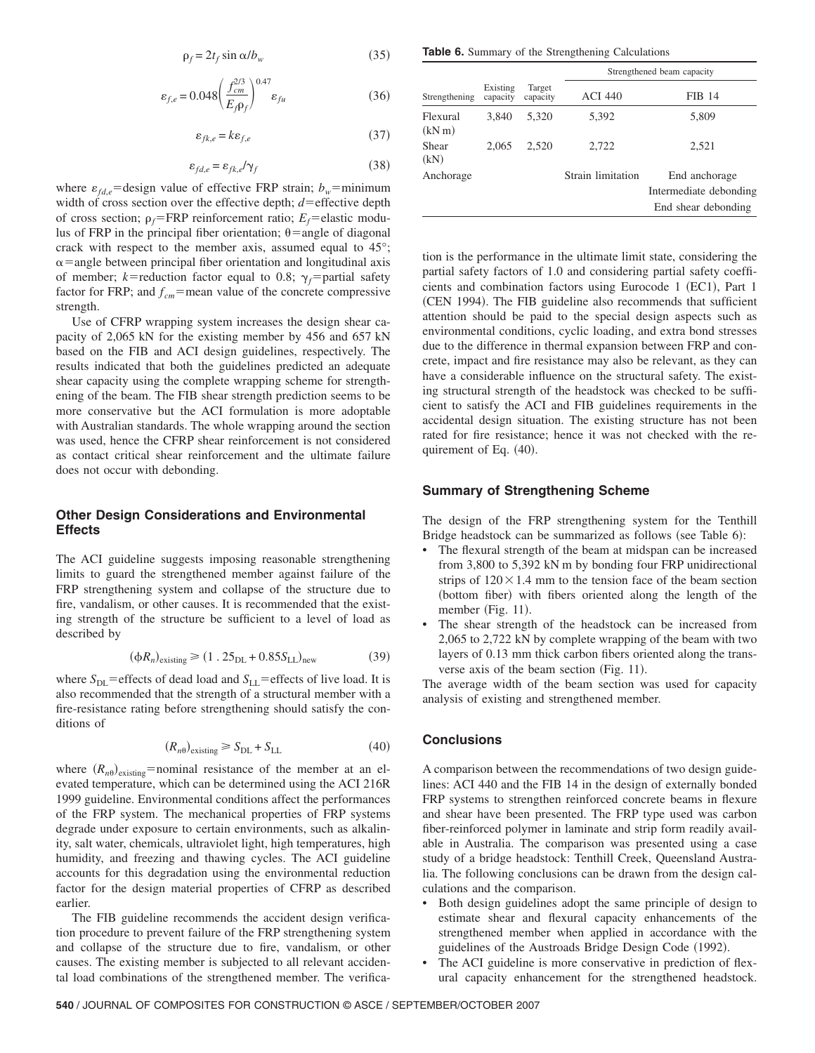$$
\rho_f = 2t_f \sin \alpha/b_w \tag{35}
$$

$$
\varepsilon_{f,e} = 0.048 \left( \frac{f_{cm}^{2/3}}{E_f \rho_f} \right)^{0.47} \varepsilon_{fu}
$$
 (36)

$$
\varepsilon_{fk,e} = k\varepsilon_{f,e} \tag{37}
$$

$$
\varepsilon_{fd,e} = \varepsilon_{fk,e} / \gamma_f \tag{38}
$$

where  $\varepsilon_{\text{fde}} =$  design value of effective FRP strain;  $b_w$ = minimum width of cross section over the effective depth;  $d =$  effective depth of cross section;  $\rho_f$ =FRP reinforcement ratio;  $E_f$ =elastic modulus of FRP in the principal fiber orientation;  $\theta$ =angle of diagonal crack with respect to the member axis, assumed equal to 45°;  $\alpha$ =angle between principal fiber orientation and longitudinal axis of member;  $k$ =reduction factor equal to 0.8;  $\gamma_f$ =partial safety factor for FRP; and  $f_{cm}$ =mean value of the concrete compressive strength.

Use of CFRP wrapping system increases the design shear capacity of 2,065 kN for the existing member by 456 and 657 kN based on the FIB and ACI design guidelines, respectively. The results indicated that both the guidelines predicted an adequate shear capacity using the complete wrapping scheme for strengthening of the beam. The FIB shear strength prediction seems to be more conservative but the ACI formulation is more adoptable with Australian standards. The whole wrapping around the section was used, hence the CFRP shear reinforcement is not considered as contact critical shear reinforcement and the ultimate failure does not occur with debonding.

## **Other Design Considerations and Environmental Effects**

The ACI guideline suggests imposing reasonable strengthening limits to guard the strengthened member against failure of the FRP strengthening system and collapse of the structure due to fire, vandalism, or other causes. It is recommended that the existing strength of the structure be sufficient to a level of load as described by

$$
(\phi R_n)_{\text{existing}} \ge (1.25_{\text{DL}} + 0.85 S_{\text{LL}})_{\text{new}}
$$
 (39)

where  $S_{DL}$ =effects of dead load and  $S_{LL}$ =effects of live load. It is also recommended that the strength of a structural member with a fire-resistance rating before strengthening should satisfy the conditions of

$$
(R_{n\theta})_{\text{existing}} \ge S_{\text{DL}} + S_{\text{LL}} \tag{40}
$$

where  $(R_{n\theta})_{\text{existing}}$ =nominal resistance of the member at an elevated temperature, which can be determined using the ACI 216R 1999 guideline. Environmental conditions affect the performances of the FRP system. The mechanical properties of FRP systems degrade under exposure to certain environments, such as alkalinity, salt water, chemicals, ultraviolet light, high temperatures, high humidity, and freezing and thawing cycles. The ACI guideline accounts for this degradation using the environmental reduction factor for the design material properties of CFRP as described earlier.

The FIB guideline recommends the accident design verification procedure to prevent failure of the FRP strengthening system and collapse of the structure due to fire, vandalism, or other causes. The existing member is subjected to all relevant accidental load combinations of the strengthened member. The verifica-

**Table 6.** Summary of the Strengthening Calculations

|                                |                      |                    | Strengthened beam capacity |                        |  |
|--------------------------------|----------------------|--------------------|----------------------------|------------------------|--|
| Strengthening                  | Existing<br>capacity | Target<br>capacity | ACI 440                    | FIB 14                 |  |
| Flexural<br>(kN <sub>m</sub> ) | 3.840                | 5.320              | 5,392                      | 5,809                  |  |
| Shear<br>(kN)                  | 2.065                | 2.520              | 2.722                      | 2,521                  |  |
| Anchorage                      |                      |                    | Strain limitation          | End anchorage          |  |
|                                |                      |                    |                            | Intermediate debonding |  |
|                                |                      |                    |                            | End shear debonding    |  |

tion is the performance in the ultimate limit state, considering the partial safety factors of 1.0 and considering partial safety coefficients and combination factors using Eurocode 1 (EC1), Part 1 (CEN 1994). The FIB guideline also recommends that sufficient attention should be paid to the special design aspects such as environmental conditions, cyclic loading, and extra bond stresses due to the difference in thermal expansion between FRP and concrete, impact and fire resistance may also be relevant, as they can have a considerable influence on the structural safety. The existing structural strength of the headstock was checked to be sufficient to satisfy the ACI and FIB guidelines requirements in the accidental design situation. The existing structure has not been rated for fire resistance; hence it was not checked with the requirement of Eq.  $(40)$ .

#### **Summary of Strengthening Scheme**

The design of the FRP strengthening system for the Tenthill Bridge headstock can be summarized as follows (see Table 6):

- The flexural strength of the beam at midspan can be increased from 3,800 to 5,392 kN m by bonding four FRP unidirectional strips of  $120 \times 1.4$  mm to the tension face of the beam section (bottom fiber) with fibers oriented along the length of the member (Fig. 11).
- The shear strength of the headstock can be increased from 2,065 to 2,722 kN by complete wrapping of the beam with two layers of 0.13 mm thick carbon fibers oriented along the transverse axis of the beam section (Fig. 11).

The average width of the beam section was used for capacity analysis of existing and strengthened member.

#### **Conclusions**

A comparison between the recommendations of two design guidelines: ACI 440 and the FIB 14 in the design of externally bonded FRP systems to strengthen reinforced concrete beams in flexure and shear have been presented. The FRP type used was carbon fiber-reinforced polymer in laminate and strip form readily available in Australia. The comparison was presented using a case study of a bridge headstock: Tenthill Creek, Queensland Australia. The following conclusions can be drawn from the design calculations and the comparison.

- Both design guidelines adopt the same principle of design to estimate shear and flexural capacity enhancements of the strengthened member when applied in accordance with the guidelines of the Austroads Bridge Design Code (1992).
- The ACI guideline is more conservative in prediction of flexural capacity enhancement for the strengthened headstock.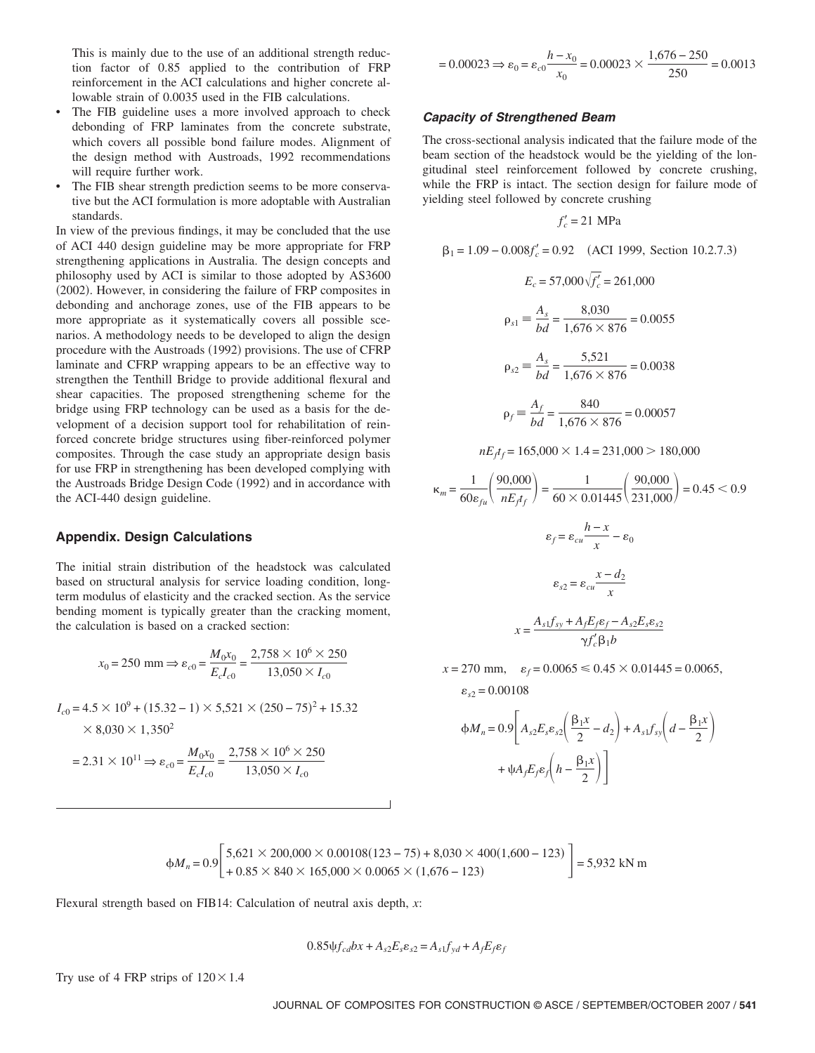This is mainly due to the use of an additional strength reduction factor of 0.85 applied to the contribution of FRP reinforcement in the ACI calculations and higher concrete allowable strain of 0.0035 used in the FIB calculations.

- The FIB guideline uses a more involved approach to check debonding of FRP laminates from the concrete substrate, which covers all possible bond failure modes. Alignment of the design method with Austroads, 1992 recommendations will require further work.
- The FIB shear strength prediction seems to be more conservative but the ACI formulation is more adoptable with Australian standards.

In view of the previous findings, it may be concluded that the use of ACI 440 design guideline may be more appropriate for FRP strengthening applications in Australia. The design concepts and philosophy used by ACI is similar to those adopted by AS3600 (2002). However, in considering the failure of FRP composites in debonding and anchorage zones, use of the FIB appears to be more appropriate as it systematically covers all possible scenarios. A methodology needs to be developed to align the design procedure with the Austroads (1992) provisions. The use of CFRP laminate and CFRP wrapping appears to be an effective way to strengthen the Tenthill Bridge to provide additional flexural and shear capacities. The proposed strengthening scheme for the bridge using FRP technology can be used as a basis for the development of a decision support tool for rehabilitation of reinforced concrete bridge structures using fiber-reinforced polymer composites. Through the case study an appropriate design basis for use FRP in strengthening has been developed complying with the Austroads Bridge Design Code (1992) and in accordance with the ACI-440 design guideline.

#### **Appendix. Design Calculations**

The initial strain distribution of the headstock was calculated based on structural analysis for service loading condition, longterm modulus of elasticity and the cracked section. As the service bending moment is typically greater than the cracking moment, the calculation is based on a cracked section:

$$
x_0 = 250 \text{ mm} \Rightarrow \varepsilon_{c0} = \frac{M_0 x_0}{E_c I_{c0}} = \frac{2,758 \times 10^6 \times 250}{13,050 \times I_{c0}}
$$

$$
I_{c0} = 4.5 \times 10^{9} + (15.32 - 1) \times 5{,}521 \times (250 - 75)^{2} + 15.32
$$
  
× 8,030 × 1,350<sup>2</sup>  
= 2.31 × 10<sup>11</sup> ⇒  $\varepsilon_{c0} = \frac{M_0 x_0}{E_c I_{c0}} = \frac{2{,}758 \times 10^{6} \times 250}{13{,}050 \times I_{c0}}$ 

$$
= 0.00023 \Rightarrow \varepsilon_0 = \varepsilon_{c0} \frac{h - x_0}{x_0} = 0.00023 \times \frac{1,676 - 250}{250} = 0.0013
$$

## *Capacity of Strengthened Beam*

 $\beta$ 

The cross-sectional analysis indicated that the failure mode of the beam section of the headstock would be the yielding of the longitudinal steel reinforcement followed by concrete crushing, while the FRP is intact. The section design for failure mode of yielding steel followed by concrete crushing

$$
f'_c = 21 \text{ MPa}
$$

$$
I = 1.09 - 0.008f_c' = 0.92 \quad \text{(ACT 1999, Section 10.2.7.3)}
$$
\n
$$
E_c = 57,000\sqrt{f_c'} = 261,000
$$
\n
$$
\rho_{s1} \equiv \frac{A_s}{bd} = \frac{8,030}{1,676 \times 876} = 0.0055
$$
\n
$$
\rho_{s2} \equiv \frac{A_s}{bd} = \frac{5,521}{1,676 \times 876} = 0.0038
$$

$$
\rho_f \equiv \frac{A_f}{bd} = \frac{840}{1,676 \times 876} = 0.00057
$$

$$
nE_f t_f = 165,000 \times 1.4 = 231,000 \ge 180,000
$$

$$
\kappa_m = \frac{1}{60\varepsilon_{fu}} \left(\frac{90,000}{nE_f t_f}\right) = \frac{1}{60 \times 0.01445} \left(\frac{90,000}{231,000}\right) = 0.45 < 0.9
$$
\n
$$
\varepsilon_f = \varepsilon_{cu} \frac{h - x}{x} - \varepsilon_0
$$
\n
$$
\varepsilon_{s2} = \varepsilon_{cu} \frac{x - d_2}{x}
$$
\n
$$
x = \frac{A_{s1}f_{sy} + A_f E_f \varepsilon_f - A_{s2}E_s \varepsilon_{s2}}{\gamma f_c' \beta_1 b}
$$

$$
x = 270
$$
 mm,  $\varepsilon_f = 0.0065 \le 0.45 \times 0.01445 = 0.0065$ ,  
 $\varepsilon_{s2} = 0.00108$ 

$$
\phi M_n = 0.9 \left[ A_{s2} E_s \varepsilon_{s2} \left( \frac{\beta_1 x}{2} - d_2 \right) + A_{s1} f_{sy} \left( d - \frac{\beta_1 x}{2} \right) + \psi A_f E_f \varepsilon_f \left( h - \frac{\beta_1 x}{2} \right) \right]
$$

$$
\phi M_n = 0.9 \left[ \begin{array}{l} 5,621 \times 200,000 \times 0.00108(123 - 75) + 8,030 \times 400(1,600 - 123) \\ + 0.85 \times 840 \times 165,000 \times 0.0065 \times (1,676 - 123) \end{array} \right] = 5,932 \text{ kN m}
$$

Flexural strength based on FIB14: Calculation of neutral axis depth, *x*:

$$
0.85\psi f_{cd}bx + A_{s2}E_s\varepsilon_{s2} = A_{s1}f_{yd} + A_fE_f\varepsilon_f
$$

Try use of 4 FRP strips of  $120 \times 1.4$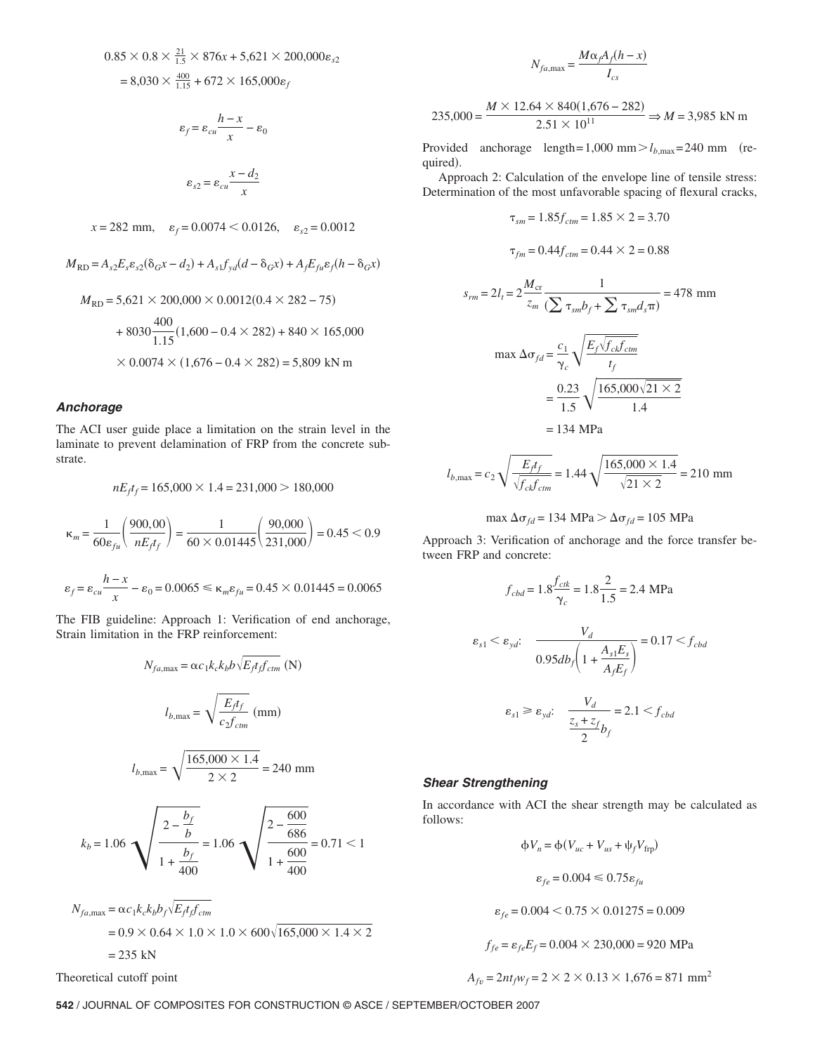$0.85 \times 0.8 \times \frac{21}{1.5} \times 876x + 5{,}621 \times 200{,}000 \varepsilon_{s2}$  $= 8,030 \times \frac{400}{1.15} + 672 \times 165,000 \varepsilon_f$ 

$$
\varepsilon_f = \varepsilon_{cu} \frac{h - x}{x} - \varepsilon_0
$$

$$
\varepsilon_{s2} = \varepsilon_{cu} \frac{x - d_2}{x}
$$

$$
x = 282
$$
 mm,  $\varepsilon_f = 0.0074 < 0.0126$ ,  $\varepsilon_{s2} = 0.0012$ 

$$
M_{\rm RD} = A_{s2} E_s \varepsilon_{s2} (\delta_G x - d_2) + A_{s1} f_{yd} (d - \delta_G x) + A_f E_{fu} \varepsilon_f (h - \delta_G x)
$$

$$
M_{\rm RD} = 5,621 \times 200,000 \times 0.0012(0.4 \times 282 - 75)
$$
  
+ 8030  $\frac{400}{1.15}$  (1,600 - 0.4 × 282) + 840 × 165,000  
× 0.0074 × (1,676 - 0.4 × 282) = 5,809 kN m

## *Anchorage*

The ACI user guide place a limitation on the strain level in the laminate to prevent delamination of FRP from the concrete substrate.

$$
nE_{f}t_{f} = 165,000 \times 1.4 = 231,000 > 180,000
$$
\n
$$
\kappa_{m} = \frac{1}{60 \varepsilon_{fu}} \left(\frac{900,00}{nE_{f}t_{f}}\right) = \frac{1}{60 \times 0.01445} \left(\frac{90,000}{231,000}\right) = 0.45 < 0.9
$$
\n
$$
\varepsilon_{f} = \varepsilon_{cu} \frac{h - x}{x} - \varepsilon_{0} = 0.0065 \le \kappa_{m}\varepsilon_{fu} = 0.45 \times 0.01445 = 0.0065
$$

The FIB guideline: Approach 1: Verification of end anchorage, Strain limitation in the FRP reinforcement:

$$
N_{fa,\text{max}} = \alpha c_1 k_c k_b b \sqrt{E_f t_f f_{ctm}} \text{ (N)}
$$
\n
$$
l_{b,\text{max}} = \sqrt{\frac{E_f t_f}{c_2 f_{ctm}}} \text{ (mm)}
$$
\n
$$
l_{b,\text{max}} = \sqrt{\frac{165,000 \times 1.4}{2 \times 2}} = 240 \text{ mm}
$$

$$
k_b = 1.06 \sqrt{\frac{2 - \frac{b_f}{b}}{1 + \frac{b_f}{400}}} = 1.06 \sqrt{\frac{2 - \frac{600}{686}}{1 + \frac{600}{400}}} = 0.71 < 1
$$

$$
N_{fa,\text{max}} = \alpha c_1 k_c k_b b_f \sqrt{E_f t_f f_{ctm}}
$$
  
= 0.9 × 0.64 × 1.0 × 1.0 × 600 \sqrt{165,000 × 1.4 × 2}  
= 235 kN

Theoretical cutoff point

 $N_{fa,\text{max}} = \frac{M\alpha_f A_f(h-x)}{I_{cs}}$ 

$$
235,000 = \frac{M \times 12.64 \times 840(1,676 - 282)}{2.51 \times 10^{11}} \Rightarrow M = 3,985 \text{ kN m}
$$

Provided anchorage length=  $1,000$  mm  $\frac{1}{b}$ <sub>b,max</sub>= 240 mm (required).

Approach 2: Calculation of the envelope line of tensile stress: Determination of the most unfavorable spacing of flexural cracks,

$$
\tau_{sm} = 1.85 f_{ctm} = 1.85 \times 2 = 3.70
$$
  

$$
\tau_{fm} = 0.44 f_{ctm} = 0.44 \times 2 = 0.88
$$
  

$$
s_{rm} = 2l_t = 2 \frac{M_{cr}}{z_m} \frac{1}{(\sum \tau_{sm} b_f + \sum \tau_{sm} d_s \pi)} = 478 \text{ mm}
$$
  

$$
\text{max } \Delta \sigma_{fd} = \frac{c_1}{\gamma_c} \sqrt{\frac{E_f \sqrt{f_{ck} f_{ctm}}}{t_f}}
$$
  

$$
= \frac{0.23}{1.5} \sqrt{\frac{165,000 \sqrt{21 \times 2}}{1.4}}
$$
  

$$
= 134 \text{ MPa}
$$

$$
l_{b,\text{max}} = c_2 \sqrt{\frac{E_f t_f}{\sqrt{f_{ck} f_{ctm}}}} = 1.44 \sqrt{\frac{165,000 \times 1.4}{\sqrt{21 \times 2}}} = 210 \text{ mm}
$$

$$
\max \Delta \sigma_{fd} = 134 \text{ MPa} > \Delta \sigma_{fd} = 105 \text{ MPa}
$$

Approach 3: Verification of anchorage and the force transfer between FRP and concrete:

$$
f_{cbd} = 1.8 \frac{f_{ctk}}{\gamma_c} = 1.8 \frac{2}{1.5} = 2.4 \text{ MPa}
$$

$$
\varepsilon_{s1} < \varepsilon_{yd}: \frac{V_d}{0.95db_f \left(1 + \frac{A_{s1}E_s}{A_fE_f}\right)} = 0.17 < f_{cbd}
$$

$$
\varepsilon_{s1} \ge \varepsilon_{yd}: \frac{V_d}{\frac{Z_s + Z_f}{2}b_f} = 2.1 < f_{cbd}
$$

# *Shear Strengthening*

In accordance with ACI the shear strength may be calculated as follows: *Vn* = *Vuc* + *Vus* + *fV*frp-

$$
\Phi V_n = \Phi (V_{uc} + V_{us} + \Psi_f V_{frp})
$$
  

$$
\varepsilon_{fe} = 0.004 \le 0.75 \varepsilon_{fu}
$$
  

$$
\varepsilon_{fe} = 0.004 < 0.75 \times 0.01275 = 0.009
$$
  

$$
f_{fe} = \varepsilon_{fe} E_f = 0.004 \times 230,000 = 920 \text{ MPa}
$$

$$
A_{fv} = 2nt_fw_f = 2 \times 2 \times 0.13 \times 1,676 = 871
$$
 mm<sup>2</sup>

**542** / JOURNAL OF COMPOSITES FOR CONSTRUCTION © ASCE / SEPTEMBER/OCTOBER 2007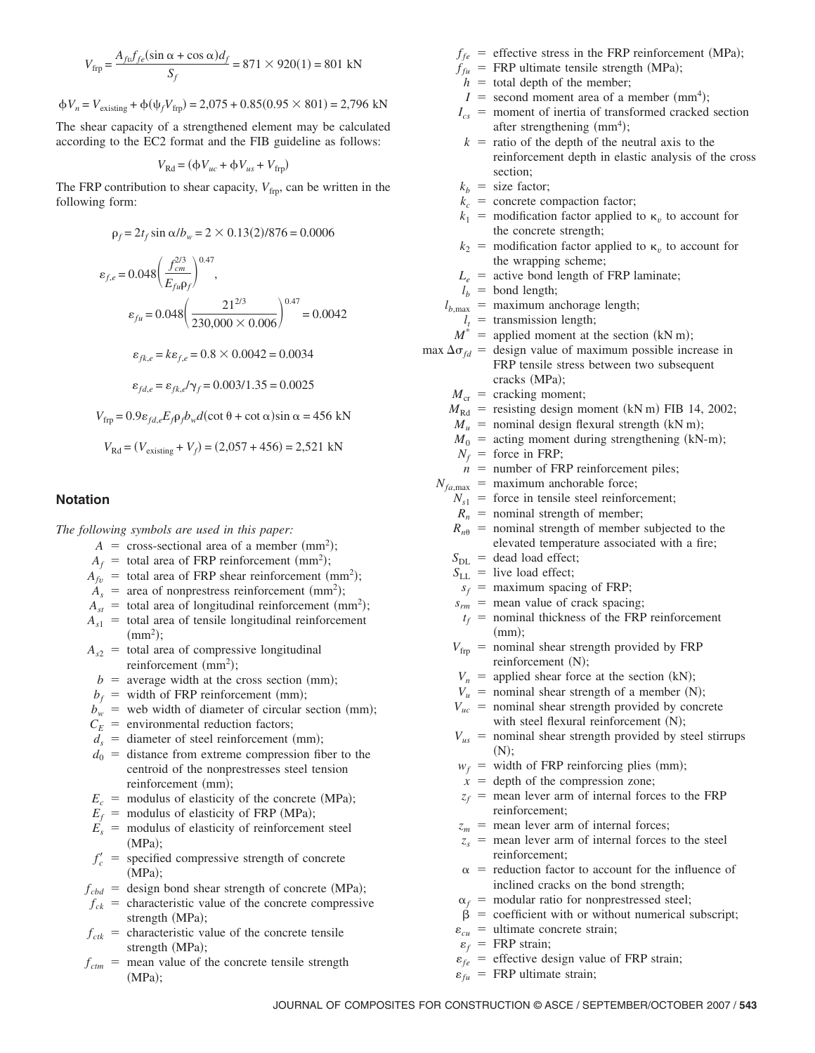$$
V_{\text{frp}} = \frac{A_{fv} f_{fe} (\sin \alpha + \cos \alpha) d_f}{S_f} = 871 \times 920(1) = 801 \text{ kN}
$$

 $\phi V_n = V_{\text{existing}} + \phi (\psi_f V_{\text{frp}}) = 2.075 + 0.85(0.95 \times 801) = 2.796 \text{ kN}$ 

The shear capacity of a strengthened element may be calculated according to the EC2 format and the FIB guideline as follows:

$$
V_{\rm Rd} = (\phi V_{uc} + \phi V_{us} + V_{\rm frp})
$$

The FRP contribution to shear capacity,  $V_{\text{frp}}$ , can be written in the following form:

$$
\rho_f = 2t_f \sin \alpha/b_w = 2 \times 0.13(2)/876 = 0.0006
$$

$$
\varepsilon_{f,e} = 0.048 \left( \frac{f_{cm}^{2/3}}{E_{fu}\rho_f} \right)^{0.47},
$$
  
\n
$$
\varepsilon_{fu} = 0.048 \left( \frac{21^{2/3}}{230,000 \times 0.006} \right)^{0.47} = 0.0042
$$
  
\n
$$
\varepsilon_{fk,e} = k\varepsilon_{f,e} = 0.8 \times 0.0042 = 0.0034
$$
  
\n
$$
\varepsilon_{fd,e} = \varepsilon_{fk,e}/\gamma_f = 0.003/1.35 = 0.0025
$$
  
\n
$$
V_{\text{frp}} = 0.9\varepsilon_{fd,e}E_{f}\rho_f b_w d(\cot \theta + \cot \alpha) \sin \alpha = 456 \text{ kN}
$$

$$
V_{\text{Rd}} = (V_{\text{existing}} + V_f) = (2.057 + 456) = 2.521 \text{ kN}
$$

## **Notation**

*The following symbols are used in this paper:*

- $A = \text{cross-sectional area of a member } (\text{mm}^2);$
- $A_f$  = total area of FRP reinforcement (mm<sup>2</sup>);
- $A_{fv}$  = total area of FRP shear reinforcement (mm<sup>2</sup>);
- $\dot{A}_s$  = area of nonprestress reinforcement (mm<sup>2</sup>);
- $A_{st}$  = total area of longitudinal reinforcement (mm<sup>2</sup>);
- $A_{s1}$  = total area of tensile longitudinal reinforcement  $\text{(mm}^2);$
- $A_{s2}$  = total area of compressive longitudinal reinforcement (mm<sup>2</sup>);
- $b =$  average width at the cross section (mm);
- $b_f$  = width of FRP reinforcement (mm);
- $b_w$  = web width of diameter of circular section (mm);
- $C_E$  = environmental reduction factors;
- $d_s$  = diameter of steel reinforcement (mm);
- $d_0$  = distance from extreme compression fiber to the centroid of the nonprestresses steel tension reinforcement (mm);
- $E_c$  = modulus of elasticity of the concrete (MPa);
- $E_f$  = modulus of elasticity of FRP (MPa);
- $E<sub>s</sub>$  = modulus of elasticity of reinforcement steel  $(MPa);$
- $f'_c$  = specified compressive strength of concrete  $(MPa);$
- $f_{\text{cbd}}$  = design bond shear strength of concrete (MPa);
- $f_{ck}$  = characteristic value of the concrete compressive strength (MPa);
- $f_{ck}$  = characteristic value of the concrete tensile strength (MPa);
- $f_{\text{ctm}}$  = mean value of the concrete tensile strength  $(MPa);$
- $f_{fe}$  = effective stress in the FRP reinforcement (MPa);
- $f_{fu}$  = FRP ultimate tensile strength (MPa);
- $h =$  total depth of the member;
	- $I =$  second moment area of a member (mm<sup>4</sup>);
- $I_{cs}$  = moment of inertia of transformed cracked section after strengthening (mm<sup>4</sup>);
- $k =$  ratio of the depth of the neutral axis to the reinforcement depth in elastic analysis of the cross section;
- $k_b$  = size factor;
- $k_c$  = concrete compaction factor;
- $k_1$  = modification factor applied to  $\kappa$ <sub>v</sub> to account for the concrete strength;
- $k_2$  = modification factor applied to  $\kappa$ <sub>v</sub> to account for the wrapping scheme;
- $L_e$  = active bond length of FRP laminate;
- $l_b$  = bond length;
- $l_{b,\text{max}}$  = maximum anchorage length;
	- $l_t$  = transmission length;
	- $M^*$  = applied moment at the section (kN m);
- $\max \Delta \sigma_{td}$  = design value of maximum possible increase in FRP tensile stress between two subsequent cracks (MPa);
	- $M_{cr}$  = cracking moment;
	- $M_{\text{Rd}}$  = resisting design moment (kN m) FIB 14, 2002;
	- $M_u$  = nominal design flexural strength (kN m);
	- $M_0$  = acting moment during strengthening (kN-m);  $N_f$  = force in FRP;
	- $n =$  number of FRP reinforcement piles;
	- $N_{fa,\text{max}}$  = maximum anchorable force;
		- $N_{s1}$  = force in tensile steel reinforcement;
		- $R_n$  = nominal strength of member;
		- $R_{n\theta}$  = nominal strength of member subjected to the elevated temperature associated with a fire;
		- $S_{\text{DL}}$  = dead load effect;
		- $S_{LL}$  = live load effect;
		- $s_f$  = maximum spacing of FRP;
		- $s_{rm}$  = mean value of crack spacing;
		- $t_f$  = nominal thickness of the FRP reinforcement  $(mm);$
		- $V_{\text{frp}}$  = nominal shear strength provided by FRP reinforcement (N);
		- $V_n$  = applied shear force at the section (kN);
		- $V_u$  = nominal shear strength of a member (N);
		- $V_{uc}$  = nominal shear strength provided by concrete with steel flexural reinforcement (N);
		- $V_{us}$  = nominal shear strength provided by steel stirrups  $(N);$
		- $w_f$  = width of FRP reinforcing plies (mm);
		- $\dot{x}$  = depth of the compression zone;
		- $z_f$  = mean lever arm of internal forces to the FRP reinforcement;
		- $z_m$  = mean lever arm of internal forces;
		- $z_s$  = mean lever arm of internal forces to the steel reinforcement;
		- $\alpha$  = reduction factor to account for the influence of inclined cracks on the bond strength;
		- $\alpha_f$  = modular ratio for nonprestressed steel;
		- $\beta$  = coefficient with or without numerical subscript;
		- $\varepsilon_{cu}$  = ultimate concrete strain;
		- $\varepsilon_f$  = FRP strain;
		- $\varepsilon_{fe}$  = effective design value of FRP strain;
		- $\varepsilon_{fu}$  = FRP ultimate strain;